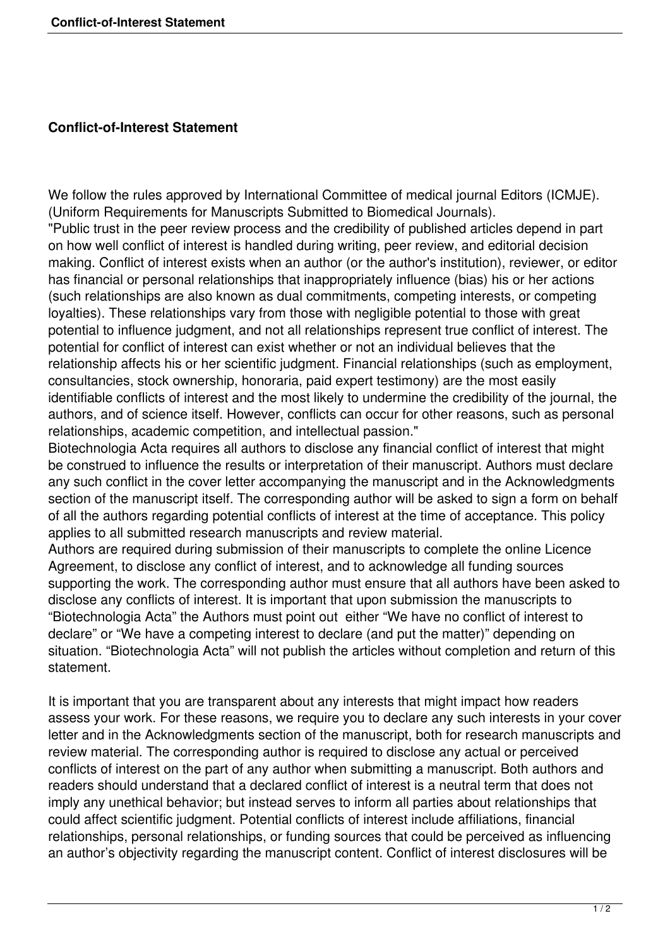## **Conflict-of-Interest Statement**

We follow the rules approved by International Committee of medical journal Editors (ICMJE). (Uniform Requirements for Manuscripts Submitted to Biomedical Journals). "Public trust in the peer review process and the credibility of published articles depend in part on how well conflict of interest is handled during writing, peer review, and editorial decision making. Conflict of interest exists when an author (or the author's institution), reviewer, or editor has financial or personal relationships that inappropriately influence (bias) his or her actions (such relationships are also known as dual commitments, competing interests, or competing loyalties). These relationships vary from those with negligible potential to those with great potential to influence judgment, and not all relationships represent true conflict of interest. The potential for conflict of interest can exist whether or not an individual believes that the relationship affects his or her scientific judgment. Financial relationships (such as employment, consultancies, stock ownership, honoraria, paid expert testimony) are the most easily identifiable conflicts of interest and the most likely to undermine the credibility of the journal, the authors, and of science itself. However, conflicts can occur for other reasons, such as personal relationships, academic competition, and intellectual passion."

Biotechnologia Acta requires all authors to disclose any financial conflict of interest that might be construed to influence the results or interpretation of their manuscript. Authors must declare any such conflict in the cover letter accompanying the manuscript and in the Acknowledgments section of the manuscript itself. The corresponding author will be asked to sign a form on behalf of all the authors regarding potential conflicts of interest at the time of acceptance. This policy applies to all submitted research manuscripts and review material.

Authors are required during submission of their manuscripts to complete the online Licence Agreement, to disclose any conflict of interest, and to acknowledge all funding sources supporting the work. The corresponding author must ensure that all authors have been asked to disclose any conflicts of interest. It is important that upon submission the manuscripts to "Biotechnologia Acta" the Authors must point out either "We have no conflict of interest to declare" or "We have a competing interest to declare (and put the matter)" depending on situation. "Biotechnologia Acta" will not publish the articles without completion and return of this statement.

It is important that you are transparent about any interests that might impact how readers assess your work. For these reasons, we require you to declare any such interests in your cover letter and in the Acknowledgments section of the manuscript, both for research manuscripts and review material. The corresponding author is required to disclose any actual or perceived conflicts of interest on the part of any author when submitting a manuscript. Both authors and readers should understand that a declared conflict of interest is a neutral term that does not imply any unethical behavior; but instead serves to inform all parties about relationships that could affect scientific judgment. Potential conflicts of interest include affiliations, financial relationships, personal relationships, or funding sources that could be perceived as influencing an author's objectivity regarding the manuscript content. Conflict of interest disclosures will be